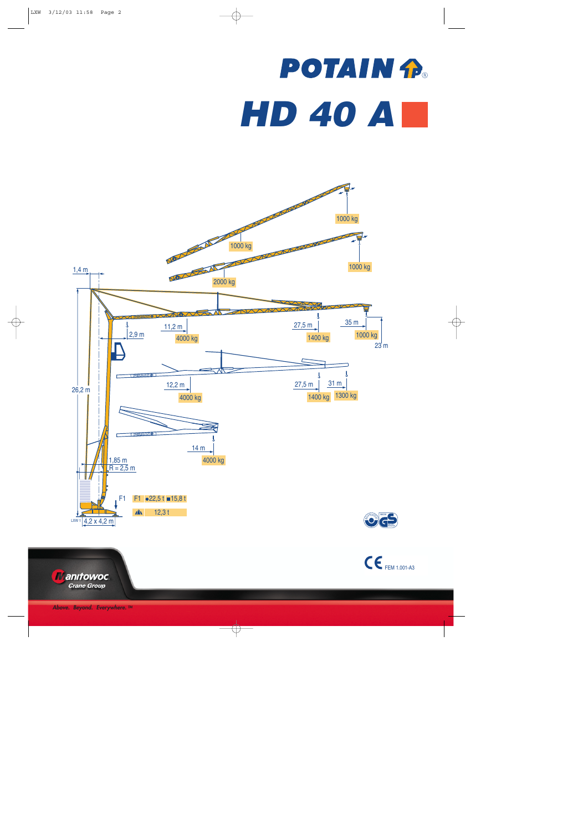## **POTAIN P.** *HD 40 A*



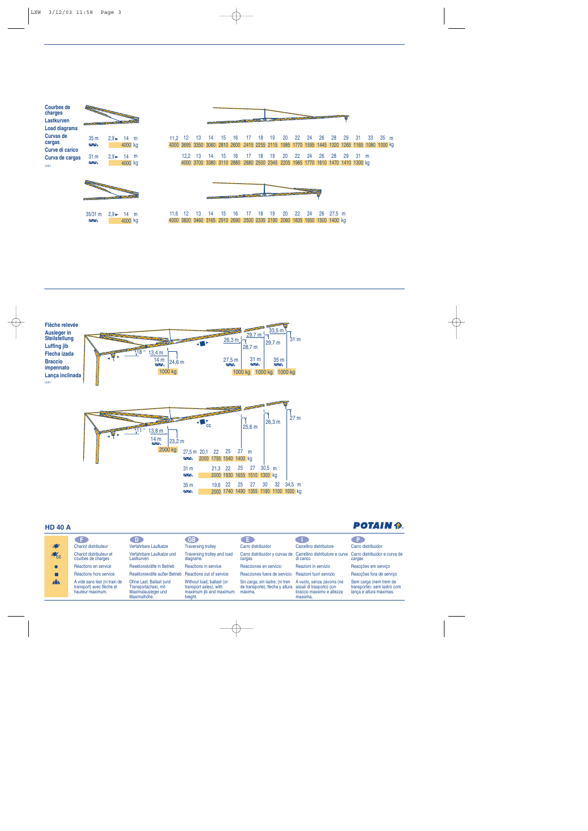| <b>Courbes de</b><br>charges<br>Lastkurven<br><b>Load diagrams</b> | PARTIES OF THE COMPANY OF THE COMPANY OF |                           |                 |  |      |                     |    |
|--------------------------------------------------------------------|------------------------------------------|---------------------------|-----------------|--|------|---------------------|----|
| Curvas de<br>cargas<br>Curve di carico                             | 35 <sub>m</sub><br>$\wedge \wedge$       | $2.9 \blacktriangleright$ | 14 m<br>4000 kg |  | 11.2 | 12<br>4000 3695 335 | 13 |
| Curva de cargas<br>LXW <sub>1</sub>                                | 31 <sub>m</sub><br>$\wedge$ $\wedge$     | $2.9 \blacktriangleright$ | 14 m<br>4000 kg |  |      | 12.2<br>4000 370    | 13 |



35/31 m 2,9 ► 14 m

4000 kg



4000 3695 3350 3060 2810 2600 2415 2255 2115 1985 1770 1595 1445 1320 1265 1165 1080 1000 kg 16 17 14 15 18 19 20 22 24 26 28 29 31 33 35 m 16 17 14 15 13 12,2 18 19 2880 2680 3380 3700 4000 3110 2500 2345 2205 1965 1770 1610 1470 1410 1300 kg 20 22 24 26 28 29 31 m



16 17 14 15 13 12 11,6 18 19 20 22 24 26 27,5 m 4000 3820 3460 3165 2910 2690 2500 2335 2190 2060 1835 1650 1500 1400 kg



## **HD 40 A**

| HD 40 A                   |                                                                                |                                                                                        |                                                                                           |                                                                               |                                                                                                 | FVIATN 12                                                                         |
|---------------------------|--------------------------------------------------------------------------------|----------------------------------------------------------------------------------------|-------------------------------------------------------------------------------------------|-------------------------------------------------------------------------------|-------------------------------------------------------------------------------------------------|-----------------------------------------------------------------------------------|
|                           |                                                                                | D.                                                                                     | <b>GB</b>                                                                                 | CE.                                                                           |                                                                                                 |                                                                                   |
| $\sqrt{2}$                | <b>Chariot distributeur</b>                                                    | Verfahrbare Laufkatze                                                                  | <b>Traversing trolley</b>                                                                 | Carro distribuidor                                                            | Carrellino distributore                                                                         | Carro distribuidor                                                                |
| $\triangle$ <sub>CC</sub> | Chariot distributeur et<br>courbes de charges                                  | Verfahrbare Laufkatze und<br>Lastkurven                                                | Traversing trolley and load<br>diagrams                                                   | cargas                                                                        | Carro distribuidor y curvas de Carrellino distributore e curve<br>di carico                     | Carro distribuidor e curva de<br>cargas                                           |
|                           | Réactions en service                                                           | Reaktionskräfte in Betrieb                                                             | Reactions in service                                                                      | Reacciones en servicio                                                        | Reazioni in servizio                                                                            | Reaccões em servico                                                               |
|                           | Réactions hors service                                                         | Reaktionskräfte außer Betrieb                                                          | Reactions out of service                                                                  | Reacciones fuera de servicio                                                  | Reazioni fuori servizio                                                                         | Reaccões fora de servico                                                          |
| $\mathbf{A}$              | A vide sans lest (ni train de<br>transport) avec flèche et<br>hauteur maximum. | Ohne Last, Ballast (und<br>Transportachse), mit<br>Maximalausleger und<br>Maximalhöhe. | Without load, ballast (or<br>transport axles), with<br>maximum jib and maximum<br>height. | Sin carga, sin lastre, (ni tren<br>de transporte), flecha y altura<br>máxima. | A vuoto, senza zavorra (ne<br>assali di trasporto) con<br>braccio massimo e altezza<br>massima. | Sem carga (nem trem de<br>transporte) - sem lastro com<br>lança e altura máximas. |

## DATAIN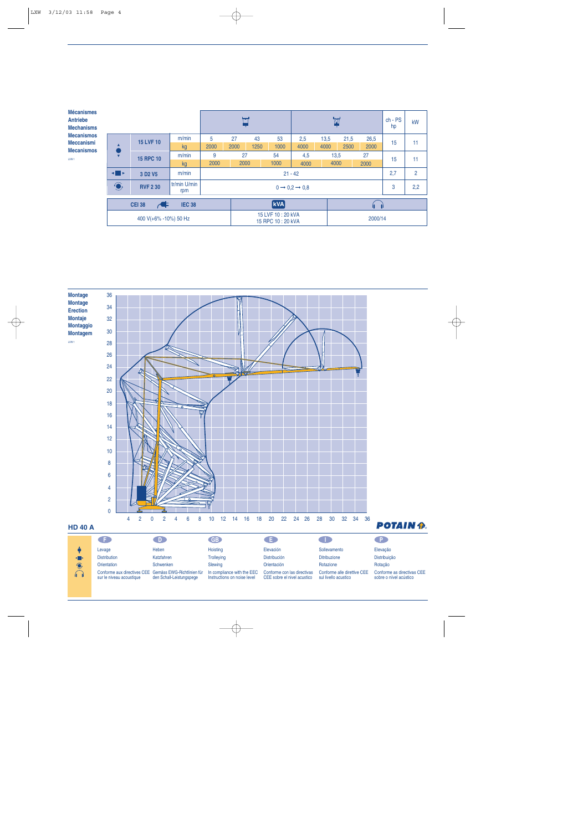| <b>Mécanismes</b><br><b>Antriebe</b><br><b>Mechanisms</b> |                                                        |                  |                                     |      |                                      |           | M    |      |         | $ch - PS$<br>hp | kW   |     |                |
|-----------------------------------------------------------|--------------------------------------------------------|------------------|-------------------------------------|------|--------------------------------------|-----------|------|------|---------|-----------------|------|-----|----------------|
| <b>Mecanismos</b><br><b>Meccanismi</b>                    |                                                        | <b>15 LVF 10</b> | m/min                               | 5    | 27                                   | 43        | 53   | 2,5  | 13,5    | 21,5            | 26,5 | 15  | 11             |
| <b>Mecanismos</b>                                         |                                                        |                  | kg                                  | 2000 | 2000                                 | 1250      | 1000 | 4000 | 4000    | 2500            | 2000 |     |                |
| LXW <sub>1</sub>                                          | $\overline{\mathbf{v}}$                                | <b>15 RPC 10</b> | m/min                               | 9    | 27                                   |           | 54   | 4,5  | 13,5    |                 | 27   | 15  | 11             |
|                                                           |                                                        |                  | kg                                  | 2000 | 2000                                 |           | 1000 | 4000 | 4000    |                 | 2000 |     |                |
|                                                           | ◂▉▸<br>m/min<br>3 D <sub>2</sub> V <sub>5</sub>        |                  |                                     |      |                                      | $21 - 42$ |      |      |         |                 |      | 2,7 | $\overline{2}$ |
|                                                           | $\bigodot$                                             | <b>RVF 2 30</b>  | $0 \rightarrow 0,2 \rightarrow 0,8$ |      |                                      |           |      |      |         |                 |      | 2,2 |                |
|                                                           | $\blacktriangleleft$<br><b>IEC 38</b><br><b>CEI 38</b> |                  |                                     |      | <b>kVA</b>                           |           |      |      |         | íĵ.             |      |     |                |
| 400 V(+6% -10%) 50 Hz                                     |                                                        |                  |                                     |      | 15 LVF 10:20 kVA<br>15 RPC 10:20 kVA |           |      |      | 2000/14 |                 |      |     |                |



Conforme aux directives CEE sur le niveau acoustique Gemäss EWG-Richtlinien für den Schall-Leistungspege Katzfahren Schwenken **Trolleying** Slewing In compliance with the EEC Instructions on noise level Distribución Orientación Conforme con las directivas CEE sobre el nivel acustico Ditribuzione Rotazione Conforme alle direttive CEE sul livello acustico

**Orientation** 

 $\sum_{i=1}^{\infty}$ 

Rotação Conforme as directivas CEE sobre o nível acústico